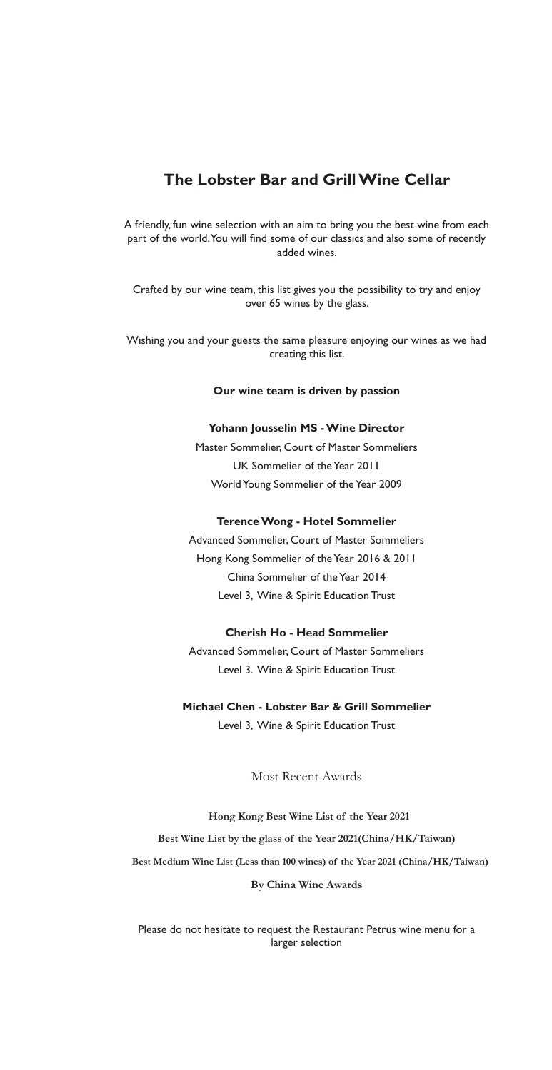## **The Lobster Bar and Grill Wine Cellar**

A friendly, fun wine selection with an aim to bring you the best wine from each part of the world. You will find some of our classics and also some of recently added wines.

Crafted by our wine team, this list gives you the possibility to try and enjoy over 65 wines by the glass.

Wishing you and your guests the same pleasure enjoying our wines as we had creating this list.

#### **Our wine team is driven by passion**

#### **Yohann Jousselin MS - Wine Director**

Master Sommelier, Court of Master Sommeliers UK Sommelier of the Year 2011 World Young Sommelier of the Year 2009

#### **Terence Wong - Hotel Sommelier**

Advanced Sommelier, Court of Master Sommeliers Hong Kong Sommelier of the Year 2016 & 2011 China Sommelier of the Year 2014 Level 3, Wine & Spirit Education Trust

#### **Cherish Ho - Head Sommelier**

Advanced Sommelier, Court of Master Sommeliers Level 3. Wine & Spirit Education Trust

# **Michael Chen - Lobster Bar & Grill Sommelier**

Level 3, Wine & Spirit Education Trust

Most Recent Awards

**Hong Kong Best Wine List of the Year 2021 Best Wine List by the glass of the Year 2021(China/HK/Taiwan) Best Medium Wine List (Less than 100 wines) of the Year 2021 (China/HK/Taiwan) By China Wine Awards**

Please do not hesitate to request the Restaurant Petrus wine menu for a larger selection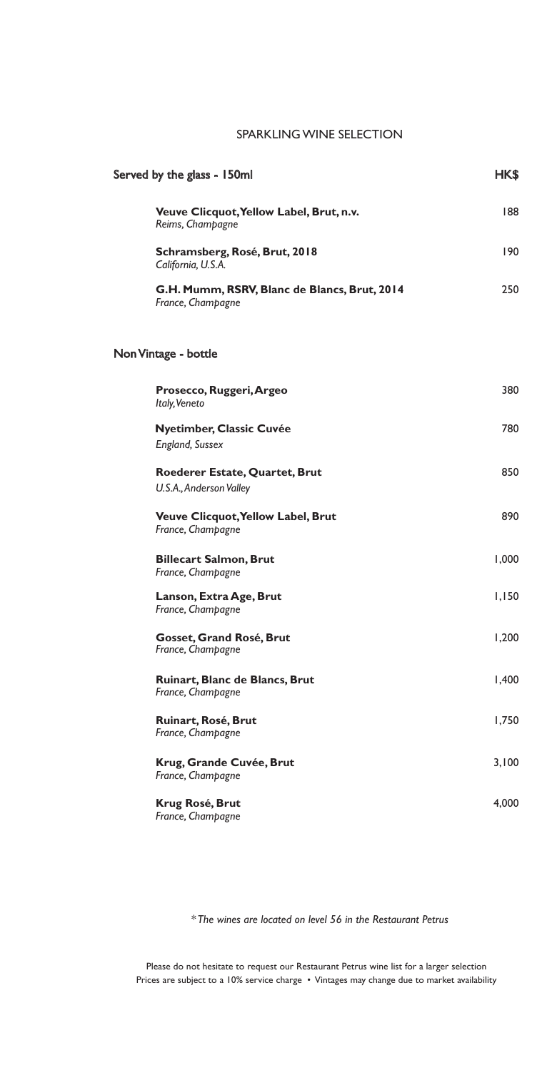### SPARKLING WINE SELECTION

| Served by the glass - 150ml                                       |       |
|-------------------------------------------------------------------|-------|
| Veuve Clicquot, Yellow Label, Brut, n.v.<br>Reims, Champagne      | 188   |
| Schramsberg, Rosé, Brut, 2018<br>California, U.S.A.               | 190   |
| G.H. Mumm, RSRV, Blanc de Blancs, Brut, 2014<br>France, Champagne | 250   |
| Non Vintage - bottle                                              |       |
| Prosecco, Ruggeri, Argeo<br>Italy, Veneto                         | 380   |
| <b>Nyetimber, Classic Cuvée</b><br><b>England, Sussex</b>         | 780   |
| Roederer Estate, Quartet, Brut<br>U.S.A., Anderson Valley         | 850   |
| <b>Veuve Clicquot, Yellow Label, Brut</b><br>France, Champagne    | 890   |
| <b>Billecart Salmon, Brut</b><br>France, Champagne                | 1,000 |
| Lanson, Extra Age, Brut<br>France, Champagne                      | 1,150 |
| Gosset, Grand Rosé, Brut<br>France, Champagne                     | 1,200 |
| Ruinart, Blanc de Blancs, Brut<br>France, Champagne               | 1,400 |
| Ruinart, Rosé, Brut<br>France, Champagne                          | 1,750 |
| Krug, Grande Cuvée, Brut<br>France, Champagne                     | 3,100 |
| Krug Rosé, Brut<br>France, Champagne                              | 4,000 |

*\* The wines are located on level 56 in the Restaurant Petrus*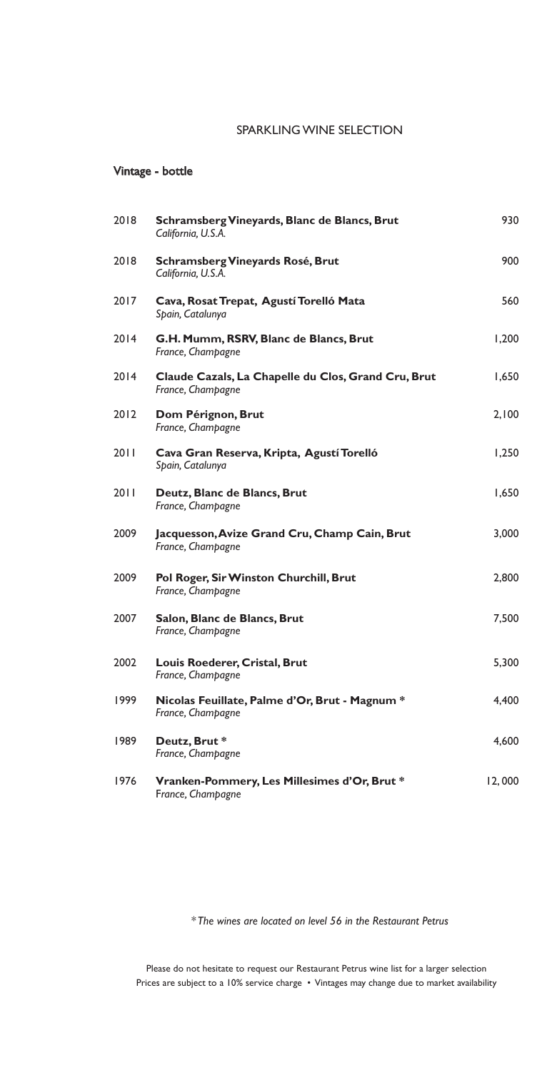### SPARKLING WINE SELECTION

### Vintage - bottle

| 2018 | Schramsberg Vineyards, Blanc de Blancs, Brut<br>California, U.S.A.       | 930    |
|------|--------------------------------------------------------------------------|--------|
| 2018 | Schramsberg Vineyards Rosé, Brut<br>California, U.S.A.                   | 900    |
| 2017 | Cava, Rosat Trepat, Agustí Torelló Mata<br>Spain, Catalunya              | 560    |
| 2014 | G.H. Mumm, RSRV, Blanc de Blancs, Brut<br>France, Champagne              | 1,200  |
| 2014 | Claude Cazals, La Chapelle du Clos, Grand Cru, Brut<br>France, Champagne | 1,650  |
| 2012 | Dom Pérignon, Brut<br>France, Champagne                                  | 2,100  |
| 2011 | Cava Gran Reserva, Kripta, Agustí Torelló<br>Spain, Catalunya            | 1,250  |
| 2011 | Deutz, Blanc de Blancs, Brut<br>France, Champagne                        | 1,650  |
| 2009 | Jacquesson, Avize Grand Cru, Champ Cain, Brut<br>France, Champagne       | 3,000  |
| 2009 | Pol Roger, Sir Winston Churchill, Brut<br>France, Champagne              | 2,800  |
| 2007 | Salon, Blanc de Blancs, Brut<br>France, Champagne                        | 7,500  |
| 2002 | Louis Roederer, Cristal, Brut<br>France, Champagne                       | 5,300  |
| 1999 | Nicolas Feuillate, Palme d'Or, Brut - Magnum *<br>France, Champagne      | 4,400  |
| 1989 | Deutz, Brut*<br>France, Champagne                                        | 4,600  |
| 1976 | Vranken-Pommery, Les Millesimes d'Or, Brut*<br>France, Champagne         | 12,000 |

*\* The wines are located on level 56 in the Restaurant Petrus*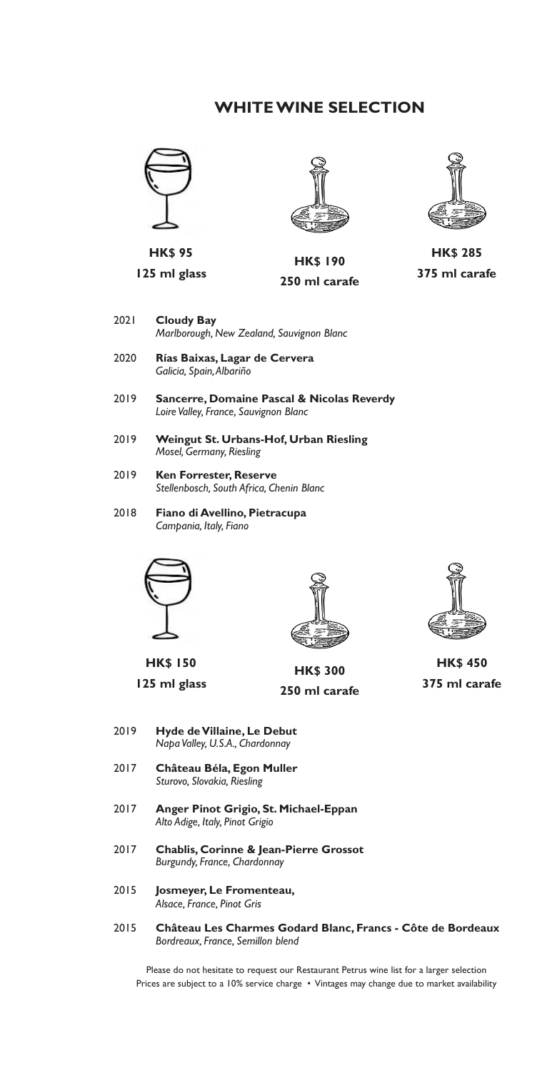## **WHITE WINE SELECTION**



**HK\$ 95**

**125 ml glass**





**250 ml carafe**

- 2021 **Cloudy Bay** *Marlborough, New Zealand, Sauvignon Blanc*
- 2020 **Rías Baixas, Lagar de Cervera** *Galicia, Spain, Albariño*
- 2019 **Sancerre, Domaine Pascal & Nicolas Reverdy** *Loire Valley, France, Sauvignon Blanc*
- 2019 **Weingut St. Urbans-Hof, Urban Riesling** *Mosel, Germany, Riesling*
- 2019 **Ken Forrester, Reserve** *Stellenbosch, South Africa, Chenin Blanc*
- 2018 **Fiano di Avellino, Pietracupa** *Campania, Italy, Fiano*





**125 ml glass**



**HK\$ 300 250 ml carafe**



**HK\$ 450 375 ml carafe**

- 2019 **Hyde de Villaine, Le Debut** *Napa Valley, U.S.A., Chardonnay*
- 2017 **Château Béla, Egon Muller** *Sturovo, Slovakia, Riesling*
- 2017 **Anger Pinot Grigio, St. Michael-Eppan** *Alto Adige, Italy, Pinot Grigio*
- 2017 **Chablis, Corinne & Jean-Pierre Grossot** *Burgundy, France, Chardonnay*
- 2015 **Josmeyer, Le Fromenteau,** *Alsace, France, Pinot Gris*
- 2015 **Château Les Charmes Godard Blanc, Francs Côte de Bordeaux** *Bordreaux, France, Semillon blend*



**HK\$ 285 375 ml carafe**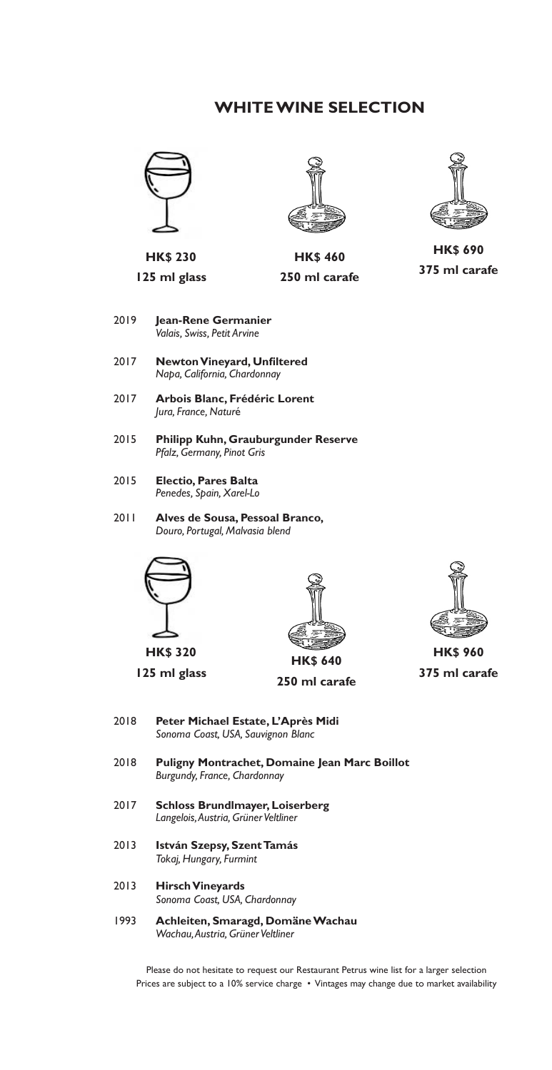## **WHITE WINE SELECTION**





**125 ml glass**



**HK\$ 460 250 ml carafe**



**HK\$ 690 375 ml carafe**

- 2019 **Jean-Rene Germanier** *Valais, Swiss, Petit Arvine*
- 2017 **NewtonVineyard, Unfiltered** *Napa, California, Chardonnay*
- 2017 **Arbois Blanc, Frédéric Lorent** *Jura, France, Natur*é
- 2015 **Philipp Kuhn, Grauburgunder Reserve**  *Pfalz, Germany, Pinot Gris*
- 2015 **Electio, Pares Balta** *Penedes, Spain, Xarel-Lo*
- 2011 **Alves de Sousa, Pessoal Branco,**  *Douro, Portugal, Malvasia blend*



**HK\$ 320**

**125 ml glass**



**250 ml carafe**



**HK\$ 960 375 ml carafe**

- 2018 **Peter Michael Estate, L'Après Midi** *Sonoma Coast, USA, Sauvignon Blanc*
- 2018 **Puligny Montrachet, Domaine Jean Marc Boillot** *Burgundy, France, Chardonnay*
- 2017 **Schloss Brundlmayer, Loiserberg** *Langelois, Austria, Grüner Veltliner*
- 2013 **István Szepsy, Szent Tamás** *Tokaj, Hungary, Furmint*
- 2013 **Hirsch Vineyards** *Sonoma Coast, USA, Chardonnay*
- 1993 **Achleiten, Smaragd, Domäne Wachau** *Wachau, Austria, Grüner Veltliner*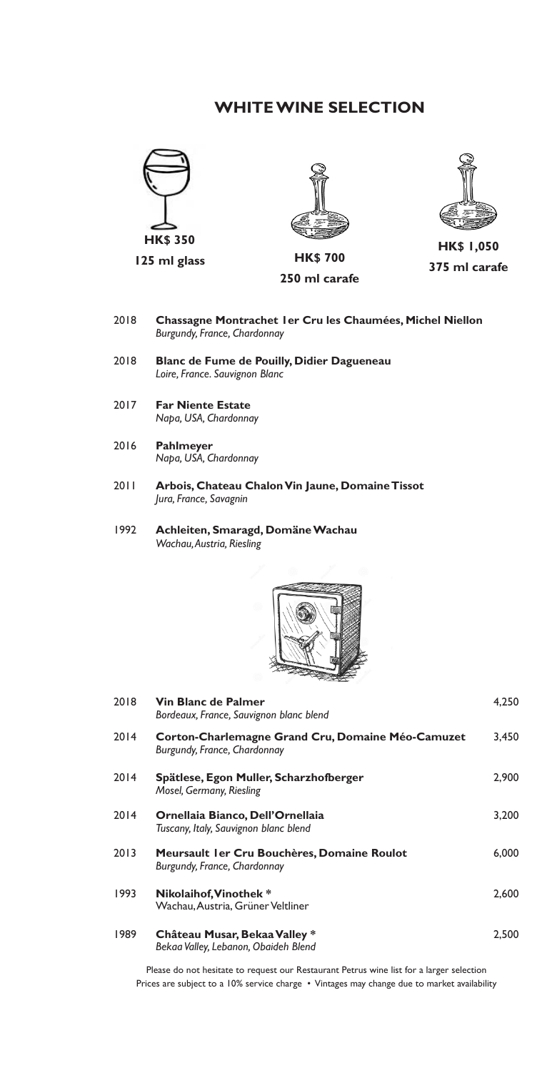## **WHITE WINE SELECTION**





**250 ml carafe**



**HK\$ 1,050 375 ml carafe**

- 2018 **Chassagne Montrachet 1er Cru les Chaumées, Michel Niellon** *Burgundy, France, Chardonnay*
- 2018 **Blanc de Fume de Pouilly, Didier Dagueneau** *Loire, France. Sauvignon Blanc*
- 2017 **Far Niente Estate** *Napa, USA, Chardonnay*
- 2016 **Pahlmeyer** *Napa, USA, Chardonnay*
- 2011 **Arbois, Chateau Chalon Vin Jaune, Domaine Tissot** *Jura, France, Savagnin*
- 1992 **Achleiten, Smaragd, Domäne Wachau** *Wachau, Austria, Riesling*



| 2018 | <b>Vin Blanc de Palmer</b><br>Bordeaux, France, Sauvignon blanc blend             | 4,250 |
|------|-----------------------------------------------------------------------------------|-------|
| 2014 | Corton-Charlemagne Grand Cru, Domaine Méo-Camuzet<br>Burgundy, France, Chardonnay | 3,450 |
| 2014 | Spätlese, Egon Muller, Scharzhofberger<br>Mosel, Germany, Riesling                | 2,900 |
| 2014 | Ornellaia Bianco, Dell'Ornellaia<br>Tuscany, Italy, Sauvignon blanc blend         | 3,200 |
| 2013 | Meursault I er Cru Bouchères, Domaine Roulot<br>Burgundy, France, Chardonnay      | 6,000 |
| 1993 | Nikolaihof, Vinothek*<br>Wachau, Austria, Grüner Veltliner                        | 2,600 |
| 1989 | Château Musar, Bekaa Valley *<br>Bekaa Valley, Lebanon, Obaideh Blend             | 2,500 |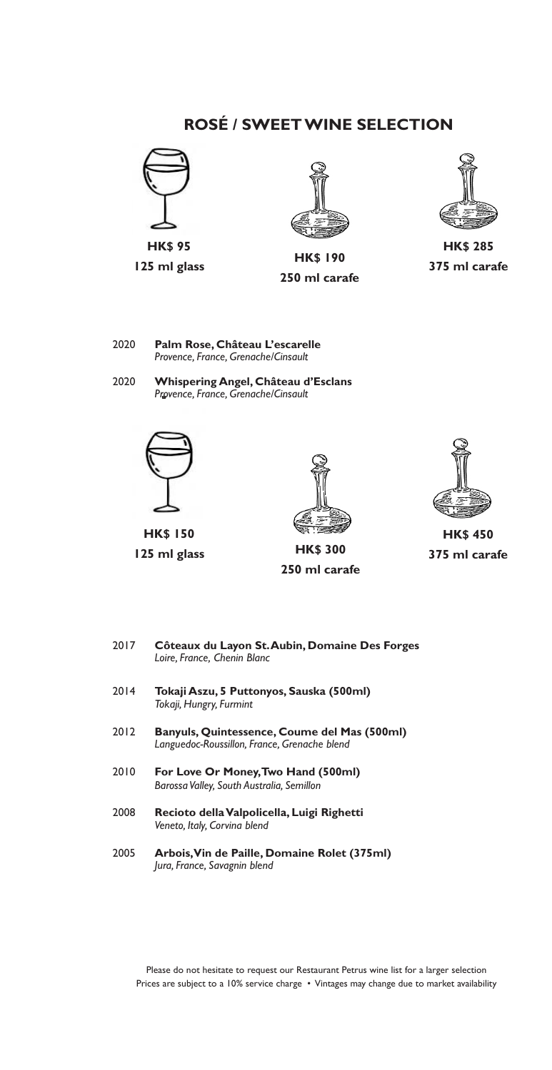# **ROSÉ / SWEET WINE SELECTION**





**125 ml glass HK\$ 190 250 ml carafe**



**HK\$ 285 375 ml carafe**

- 2020 **Palm Rose, Château L'escarelle** *Provence, France, Grenache/Cinsault*
- 2020 **Whispering Angel, Château d'Esclans** *Provence, France, Grenache/Cinsault*



**HK\$ 150 125 ml glass HK\$ 300**



**250 ml carafe**



**HK\$ 450 375 ml carafe**

- 2017 **Côteaux du Layon St. Aubin, Domaine Des Forges** *Loire, France, Chenin Blanc*
- 2014 **Tokaji Aszu, 5 Puttonyos, Sauska (500ml)** *Tokaji, Hungry, Furmint*
- 2012 **Banyuls, Quintessence, Coume del Mas (500ml)** *Languedoc-Roussillon, France, Grenache blend*
- 2010 **For Love Or Money, Two Hand (500ml)** *Barossa Valley, South Australia, Semillon*
- 2008 **Recioto della Valpolicella, Luigi Righetti** *Veneto, Italy, Corvina blend*
- 2005 **Arbois, Vin de Paille, Domaine Rolet (375ml)** *Jura, France, Savagnin blend*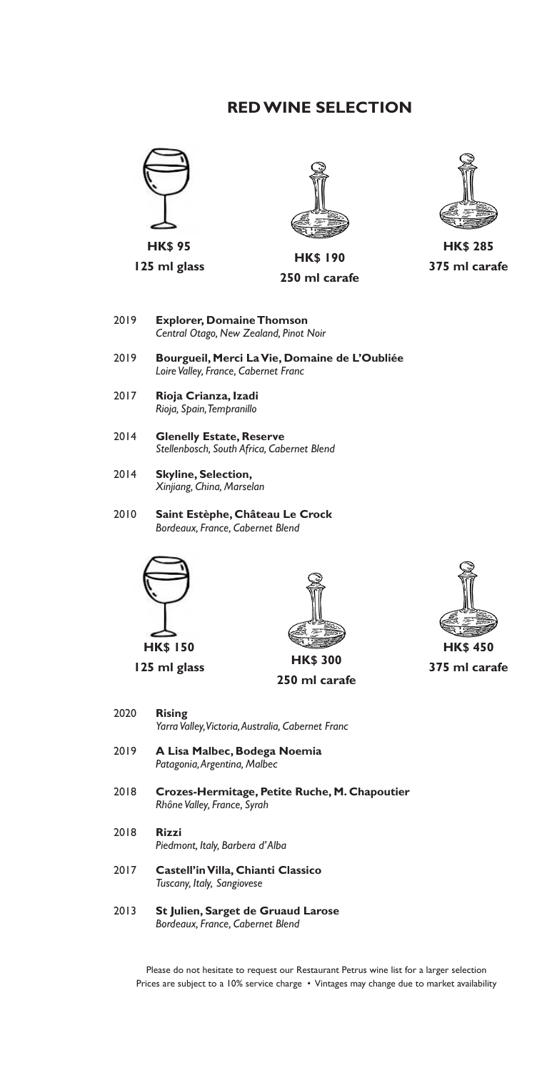# **RED WINE SELECTION**





**125 ml glass HK\$ 190 250 ml carafe**



**HK\$ 285 375 ml carafe**

- 2019 **Explorer, Domaine Thomson** *Central Otago, New Zealand, Pinot Noir*
- 2019 **Bourgueil, Merci La Vie, Domaine de L'Oubliée** *Loire Valley, France, Cabernet Franc*
- 2017 **Rioja Crianza, Izadi** *Rioja, Spain, Tempranillo*
- 2014 **Glenelly Estate, Reserve** *Stellenbosch, South Africa, Cabernet Blend*
- 2014 **Skyline, Selection,** *Xinjiang, China, Marselan*
- 2010 **Saint Estèphe, Château Le Crock** *Bordeaux, France, Cabernet Blend*



**HK\$ 150 125 ml glass HK\$ 300**



**250 ml carafe**



**375 ml carafe**

- 2020 **Rising** *Yarra Valley, Victoria, Australia, Cabernet Franc*
- 2019 **A Lisa Malbec, Bodega Noemia** *Patagonia, Argentina, Malbec*
- 2018 **Crozes-Hermitage, Petite Ruche, M. Chapoutier** *Rhône Valley, France, Syrah*
- 2018 **Rizzi** *Piedmont, Italy, Barbera d' Alba*
- 2017 **Castell'in Villa, Chianti Classico** *Tuscany, Italy, Sangiovese*
- 2013 **St Julien, Sarget de Gruaud Larose** *Bordeaux, France, Cabernet Blend*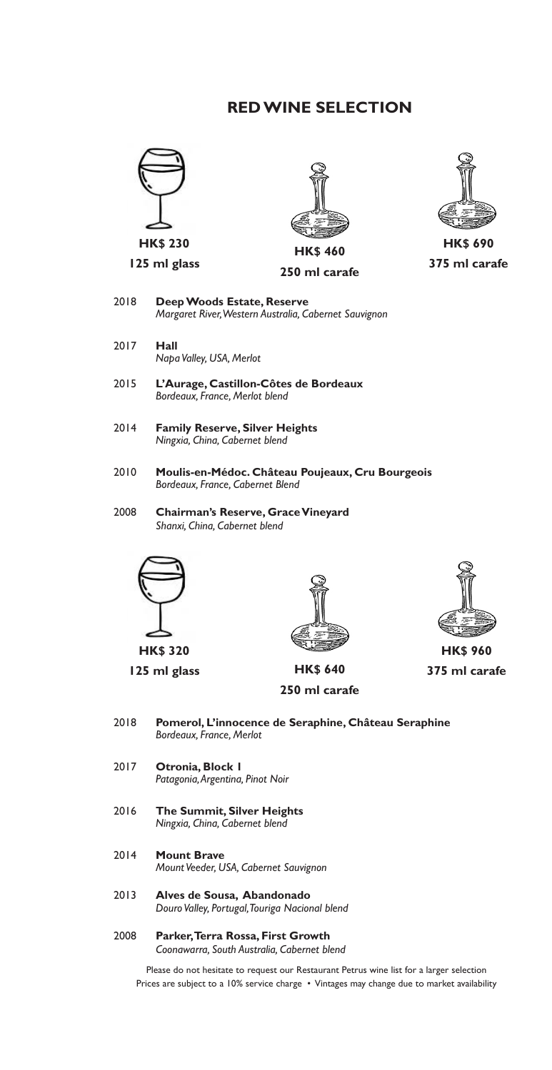# **RED WINE SELECTION**









**HK\$ 690 375 ml carafe**

- 2018 **Deep Woods Estate, Reserve** *Margaret River, Western Australia, Cabernet Sauvignon*
- 2017 **Hall** *Napa Valley, USA, Merlot*
- 2015 **L'Aurage, Castillon-Côtes de Bordeaux** *Bordeaux, France, Merlot blend*
- 2014 **Family Reserve, Silver Heights** *Ningxia, China, Cabernet blend*
- 2010 **Moulis-en-Médoc. Château Poujeaux, Cru Bourgeois** *Bordeaux, France, Cabernet Blend*
- 2008 **Chairman's Reserve, Grace Vineyard** *Shanxi, China, Cabernet blend*



**HK\$ 320**



**125 ml glass HK\$ 640 250 ml carafe**



**HK\$ 960 375 ml carafe**

- 2018 **Pomerol, L'innocence de Seraphine, Château Seraphine** *Bordeaux, France, Merlot*
- 2017 **Otronia, Block 1** *Patagonia, Argentina, Pinot Noir*
- 2016 **The Summit, Silver Heights** *Ningxia, China, Cabernet blend*
- 2014 **Mount Brave** *Mount Veeder, USA, Cabernet Sauvignon*
- 2013 **Alves de Sousa, Abandonado** *Douro Valley, Portugal, Touriga Nacional blend*
- 2008 **Parker, Terra Rossa, First Growth** *Coonawarra, South Australia, Cabernet blend*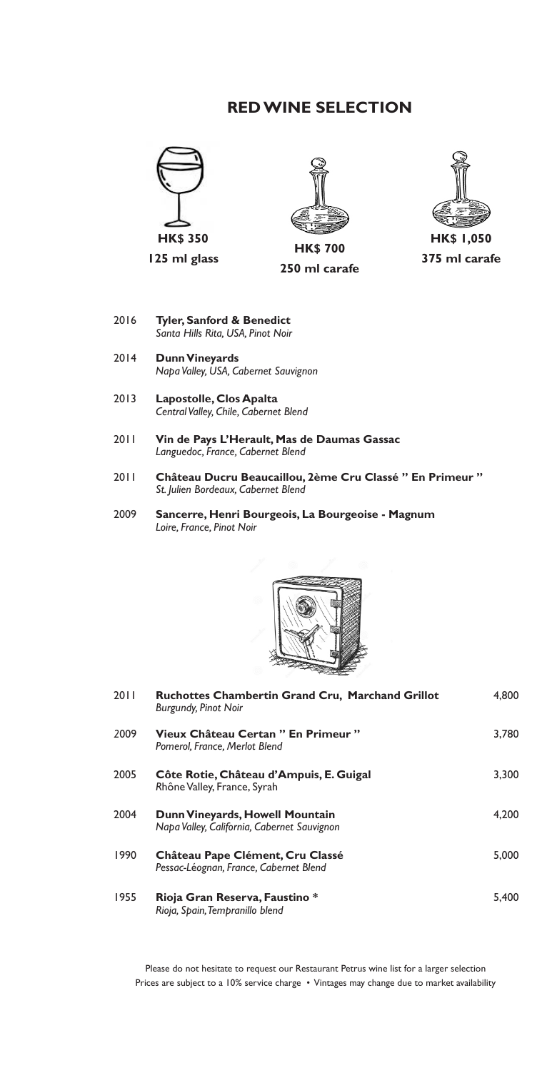## **RED WINE SELECTION**



**125 ml glass**



**HK\$ 700 250 ml carafe**



- 2016 **Tyler, Sanford & Benedict** *Santa Hills Rita, USA, Pinot Noir*
- $2014$ **Dunn Vineyards** *Napa Valley, USA, Cabernet Sauvignon*
- 2013 **Lapostolle, Clos Apalta** *Central Valley, Chile, Cabernet Blend*
- 2011 **Vin de Pays L'Herault, Mas de Daumas Gassac**  *Languedoc, France, Cabernet Blend*
- 2011 **Château Ducru Beaucaillou, 2ème Cru Classé " En Primeur "** *St. Julien Bordeaux, Cabernet Blend*
- 2009 **Sancerre, Henri Bourgeois, La Bourgeoise Magnum** *Loire, France, Pinot Noir*



| 2011 | <b>Ruchottes Chambertin Grand Cru, Marchand Grillot</b><br><b>Burgundy, Pinot Noir</b> | 4.800 |
|------|----------------------------------------------------------------------------------------|-------|
| 2009 | Vieux Château Certan " En Primeur "<br>Pomerol, France, Merlot Blend                   | 3,780 |
| 2005 | Côte Rotie, Château d'Ampuis, E. Guigal<br>Rhône Valley, France, Syrah                 | 3.300 |
| 2004 | Dunn Vineyards, Howell Mountain<br>Napa Valley, California, Cabernet Sauvignon         | 4.200 |
| 1990 | Château Pape Clément, Cru Classé<br>Pessac-Léognan, France, Cabernet Blend             | 5.000 |
| 1955 | Rioja Gran Reserva, Faustino *<br>Rioja, Spain, Tempranillo blend                      | 5.400 |